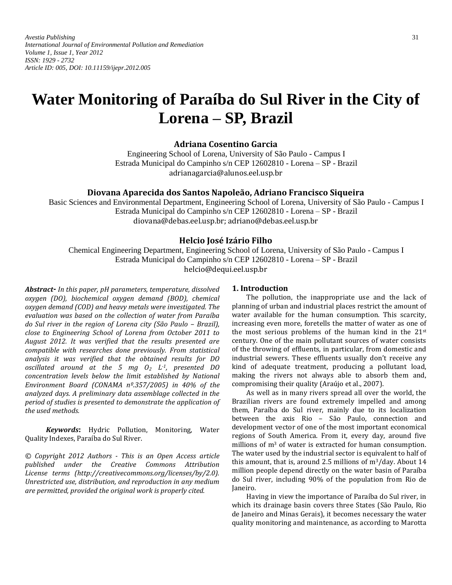*Avestia Publishing* 31 *International Journal of Environmental Pollution and Remediation Volume 1, Issue 1, Year 2012 ISSN: 1929 - 2732 Article ID: 005, DOI: 10.11159/ijepr.2012.005* 

# **Water Monitoring of Paraíba do Sul River in the City of Lorena – SP, Brazil**

**Adriana Cosentino Garcia** 

Engineering School of Lorena, University of São Paulo - Campus I Estrada Municipal do Campinho s/n CEP 12602810 - Lorena – SP - Brazil adrianagarcia@alunos.eel.usp.br

# **Diovana Aparecida dos Santos Napoleão, Adriano Francisco Siqueira**

Basic Sciences and Environmental Department, Engineering School of Lorena, University of São Paulo - Campus I Estrada Municipal do Campinho s/n CEP 12602810 - Lorena – SP - Brazil diovana@debas.eel.usp.br; [adriano@debas.eel.usp.br](mailto:adriano@debas.eel.usp.br)

## **Helcio José Izário Filho**

Chemical Engineering Department, Engineering School of Lorena, University of São Paulo - Campus I Estrada Municipal do Campinho s/n CEP 12602810 - Lorena – SP - Brazil helcio@dequi.eel.usp.br

*Abstract- In this paper, pH parameters, temperature, dissolved oxygen (DO), biochemical oxygen demand (BOD), chemical oxygen demand (COD) and heavy metals were investigated. The evaluation was based on the collection of water from Paraíba do Sul river in the region of Lorena city (São Paulo - Brazil), close to Engineering School of Lorena from October 2011 to August 2012. It was verified that the results presented are compatible with researches done previously. From statistical analysis it was verified that the obtained results for DO oscillated around at the 5 mg O<sup>2</sup> L-1, presented DO concentration levels below the limit established by National Environment Board (CONAMA nº.357/2005) in 40% of the analyzed days. A preliminary data assemblage collected in the period of studies is presented to demonstrate the application of the used methods.* 

*Keywords***:** Hydric Pollution, Monitoring, Water Quality Indexes, Paraíba do Sul River.

*© Copyright 2012 Authors - This is an Open Access article published under the Creative Commons Attribution License terms (http://creativecommons.org/licenses/by/2.0). Unrestricted use, distribution, and reproduction in any medium are permitted, provided the original work is properly cited.* 

# **1. Introduction**

The pollution, the inappropriate use and the lack of planning of urban and industrial places restrict the amount of water available for the human consumption. This scarcity, increasing even more, foretells the matter of water as one of the most serious problems of the human kind in the 21st century. One of the main pollutant sources of water consists of the throwing of effluents, in particular, from domestic and industrial sewers. These effluents usually don't receive any kind of adequate treatment, producing a pollutant load, making the rivers not always able to absorb them and, compromising their quality (Araújo et al., 2007).

As well as in many rivers spread all over the world, the Brazilian rivers are found extremely impelled and among them, Paraíba do Sul river, mainly due to its localization between the axis Rio – São Paulo, connection and development vector of one of the most important economical regions of South America. From it, every day, around five millions of m<sup>3</sup> of water is extracted for human consumption. The water used by the industrial sector is equivalent to half of this amount, that is, around 2.5 millions of m3/day. About 14 million people depend directly on the water basin of Paraíba do Sul river, including 90% of the population from Rio de Janeiro.

Having in view the importance of Paraíba do Sul river, in which its drainage basin covers three States (São Paulo, Rio de Janeiro and Minas Gerais), it becomes necessary the water quality monitoring and maintenance, as according to Marotta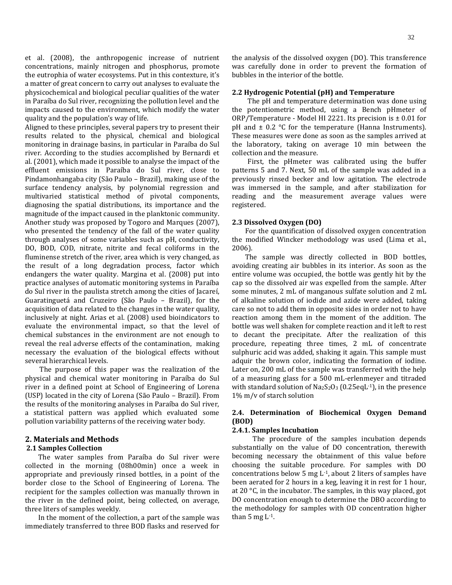et al. (2008), the anthropogenic increase of nutrient concentrations, mainly nitrogen and phosphorus, promote the eutrophia of water ecosystems. Put in this contexture, it's a matter of great concern to carry out analyses to evaluate the physicochemical and biological peculiar qualities of the water in Paraíba do Sul river, recognizing the pollution level and the impacts caused to the environment, which modify the water quality and the population's way of life.

Aligned to these principles, several papers try to present their results related to the physical, chemical and biological monitoring in drainage basins, in particular in Paraíba do Sul river. According to the studies accomplished by Bernardi et al. (2001), which made it possible to analyse the impact of the effluent emissions in Paraíba do Sul river, close to Pindamonhangaba city (São Paulo – Brazil), making use of the surface tendency analysis, by polynomial regression and multivaried statistical method of pivotal components, diagnosing the spatial distributions, its importance and the magnitude of the impact caused in the planktonic community. Another study was proposed by Togoro and Marques (2007), who presented the tendency of the fall of the water quality through analyses of some variables such as pH, conductivity, DO, BOD, COD, nitrate, nitrite and fecal coliforms in the fluminense stretch of the river, area which is very changed, as the result of a long degradation process, factor which endangers the water quality. Margina et al. (2008) put into practice analyses of automatic monitoring systems in Paraíba do Sul river in the paulista stretch among the cities of Jacareí, Guaratinguetá and Cruzeiro (São Paulo – Brazil), for the acquisition of data related to the changes in the water quality, inclusively at night. Arias et al. (2008) used bioindicators to evaluate the environmental impact, so that the level of chemical substances in the environment are not enough to reveal the real adverse effects of the contamination, making necessary the evaluation of the biological effects without several hierarchical levels.

The purpose of this paper was the realization of the physical and chemical water monitoring in Paraíba do Sul river in a defined point at School of Engineering of Lorena (USP) located in the city of Lorena (São Paulo – Brazil). From the results of the monitoring analyses in Paraíba do Sul river, a statistical pattern was applied which evaluated some pollution variability patterns of the receiving water body.

# **2. Materials and Methods**

#### **2.1 Samples Collection**

The water samples from Paraíba do Sul river were collected in the morning (08h00min) once a week in appropriate and previously rinsed bottles, in a point of the border close to the School of Engineering of Lorena. The recipient for the samples collection was manually thrown in the river in the defined point, being collected, on average, three liters of samples weekly.

In the moment of the collection, a part of the sample was immediately transferred to three BOD flasks and reserved for the analysis of the dissolved oxygen (DO). This transference was carefully done in order to prevent the formation of bubbles in the interior of the bottle.

#### **2.2 Hydrogenic Potential (pH) and Temperature**

The pH and temperature determination was done using the potentiometric method, using a Bench pHmeter of ORP/Temperature - Model HI 2221. Its precision is ± 0.01 for pH and  $\pm$  0.2 °C for the temperature (Hanna Instruments). These measures were done as soon as the samples arrived at the laboratory, taking on average 10 min between the collection and the measure.

First, the pHmeter was calibrated using the buffer patterns 5 and 7. Next, 50 mL of the sample was added in a previously rinsed becker and low agitation. The electrode was immersed in the sample, and after stabilization for reading and the measurement average values were registered.

#### **2.3 Dissolved Oxygen (DO)**

For the quantification of dissolved oxygen concentration the modified Wincker methodology was used (Lima et al., 2006).

The sample was directly collected in BOD bottles, avoiding creating air bubbles in its interior. As soon as the entire volume was occupied, the bottle was gently hit by the cap so the dissolved air was expelled from the sample. After some minutes, 2 mL of manganous sulfate solution and 2 mL of alkaline solution of iodide and azide were added, taking care so not to add them in opposite sides in order not to have reaction among them in the moment of the addition. The bottle was well shaken for complete reaction and it left to rest to decant the precipitate. After the realization of this procedure, repeating three times, 2 mL of concentrate sulphuric acid was added, shaking it again. This sample must adquir the brown color, indicating the formation of iodine. Later on, 200 mL of the sample was transferred with the help of a measuring glass for a 500 mL-erlenmeyer and titraded with standard solution of  $Na<sub>2</sub>S<sub>2</sub>O<sub>3</sub>$  (0.25eqL<sup>-1</sup>), in the presence 1% m/v of starch solution

## **2.4. Determination of Biochemical Oxygen Demand (BOD)**

## **2.4.1. Samples Incubation**

The procedure of the samples incubation depends substantially on the value of DO concentration, therewith becoming necessary the obtainment of this value before choosing the suitable procedure. For samples with DO concentrations below 5 mg L-1, about 2 liters of samples have been aerated for 2 hours in a keg, leaving it in rest for 1 hour, at 20 °C, in the incubator. The samples, in this way placed, got DO concentration enough to determine the DBO according to the methodology for samples with OD concentration higher than 5 mg  $L^{-1}$ .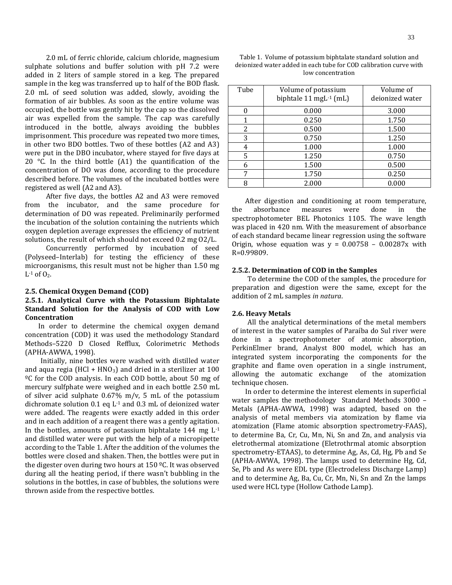2.0 mL of ferric chloride, calcium chloride, magnesium sulphate solutions and buffer solution with pH 7.2 were added in 2 liters of sample stored in a keg. The prepared sample in the keg was transferred up to half of the BOD flask. 2.0 mL of seed solution was added, slowly, avoiding the formation of air bubbles. As soon as the entire volume was occupied, the bottle was gently hit by the cap so the dissolved air was expelled from the sample. The cap was carefully introduced in the bottle, always avoiding the bubbles imprisonment. This procedure was repeated two more times, in other two BDO bottles. Two of these bottles (A2 and A3) were put in the DBO incubator, where stayed for five days at 20  $\degree$ C. In the third bottle (A1) the quantification of the concentration of DO was done, according to the procedure described before. The volumes of the incubated bottles were registered as well (A2 and A3).

After five days, the bottles A2 and A3 were removed from the incubator, and the same procedure for determination of DO was repeated. Preliminarily performed the incubation of the solution containing the nutrients which oxygen depletion average expresses the efficiency of nutrient solutions, the result of which should not exceed 0.2 mg O2/L.

Concurrently performed by incubation of seed (Polyseed–Interlab) for testing the efficiency of these microorganisms, this result must not be higher than 1.50 mg  $L^{-1}$  of  $O_2$ .

#### **2.5. Chemical Oxygen Demand (COD)**

# **2.5.1. Analytical Curve with the Potassium Biphtalate Standard Solution for the Analysis of COD with Low Concentration**

In order to determine the chemical oxygen demand concentration (COD) it was used the methodology Standard Methods–5220 D Closed Refflux, Colorimetric Methods (APHA-AWWA, 1998).

Initially, nine bottles were washed with distilled water and aqua regia (HCl + HNO<sub>3</sub>) and dried in a sterilizer at  $100$ ºC for the COD analysis. In each COD bottle, about 50 mg of mercury sulfphate were weighed and in each bottle 2.50 mL of silver acid sulphate 0.67% m/v, 5 mL of the potassium dichromate solution 0.1 eq L-1 and 0.3 mL of deionized water were added. The reagents were exactly added in this order and in each addition of a reagent there was a gently agitation. In the bottles, amounts of potassium biphtalate  $144$  mg  $L^{-1}$ and distilled water were put with the help of a micropipette according to the Table 1. After the addition of the volumes the bottles were closed and shaken. Then, the bottles were put in the digester oven during two hours at 150 ºC. It was observed during all the heating period, if there wasn't bubbling in the solutions in the bottles, in case of bubbles, the solutions were thrown aside from the respective bottles.

Table 1. Volume of potassium biphtalate standard solution and deionized water added in each tube for COD calibration curve with low concentration

| Tube | Volume of potassium                | Volume of       |  |
|------|------------------------------------|-----------------|--|
|      | biphtale 11 mgL <sup>-1</sup> (mL) | deionized water |  |
|      | 0.000                              | 3.000           |  |
| 1    | 0.250                              | 1.750           |  |
| 2    | 0.500                              | 1.500           |  |
| 3    | 0.750                              | 1.250           |  |
| 4    | 1.000                              | 1.000           |  |
| 5    | 1.250                              | 0.750           |  |
| 6    | 1.500                              | 0.500           |  |
|      | 1.750                              | 0.250           |  |
| 8    | 2.000                              | 0.000           |  |

After digestion and conditioning at room temperature, the absorbance measures were done in the spectrophotometer BEL Photonics 1105. The wave length was placed in 420 nm. With the measurement of absorbance of each standard became linear regression using the software Origin, whose equation was  $y = 0.00758 - 0.00287x$  with R=0.99809.

#### **2.5.2. Determination of COD in the Samples**

To determine the COD of the samples, the procedure for preparation and digestion were the same, except for the addition of 2 mL samples *in natura*.

#### **2.6. Heavy Metals**

All the analytical determinations of the metal members of interest in the water samples of Paraíba do Sul river were done in a spectrophotometer of atomic absorption, PerkinElmer brand, Analyst 800 model, which has an integrated system incorporating the components for the graphite and flame oven operation in a single instrument, allowing the automatic exchange of the atomization technique chosen.

In order to determine the interest elements in superficial water samples the methodology Standard Methods 3000 – Metals (APHA-AWWA, 1998) was adapted, based on the analysis of metal members via atomization by flame via atomization (Flame atomic absorption spectrometry-FAAS), to determine Ba, Cr, Cu, Mn, Ni, Sn and Zn, and analysis via eletrothermal atomizatione (Eletrothrmal atomic absorption spectrometry-ETAAS), to determine Ag, As, Cd, Hg, Pb and Se (APHA-AWWA, 1998). The lamps used to determine Hg, Cd, Se, Pb and As were EDL type (Electrodeless Discharge Lamp) and to determine Ag, Ba, Cu, Cr, Mn, Ni, Sn and Zn the lamps used were HCL type (Hollow Cathode Lamp).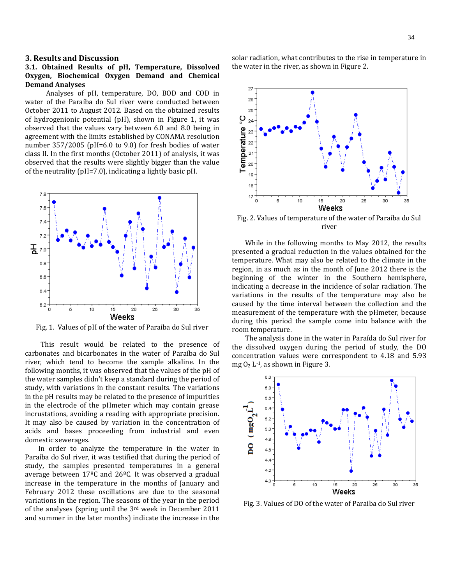## **3. Results and Discussion**

## **3.1. Obtained Results of pH, Temperature, Dissolved Oxygen, Biochemical Oxygen Demand and Chemical Demand Analyses**

Analyses of pH, temperature, DO, BOD and COD in water of the Paraíba do Sul river were conducted between October 2011 to August 2012. Based on the obtained results of hydrogenionic potential (pH), shown in Figure 1, it was observed that the values vary between 6.0 and 8.0 being in agreement with the limits established by CONAMA resolution number 357/2005 (pH=6.0 to 9.0) for fresh bodies of water class II. In the first months (October 2011) of analysis, it was observed that the results were slightly bigger than the value of the neutrality (pH=7.0), indicating a lightly basic pH.



Fig. 1. Values of pH of the water of Paraiba do Sul river

This result would be related to the presence of carbonates and bicarbonates in the water of Paraíba do Sul river, which tend to become the sample alkaline. In the following months, it was observed that the values of the pH of the water samples didn't keep a standard during the period of study, with variations in the constant results. The variations in the pH results may be related to the presence of impurities in the electrode of the pHmeter which may contain grease incrustations, avoiding a reading with appropriate precision. It may also be caused by variation in the concentration of acids and bases proceeding from industrial and even domestic sewerages.

In order to analyze the temperature in the water in Paraíba do Sul river, it was testified that during the period of study, the samples presented temperatures in a general average between 17ºC and 26ºC. It was observed a gradual increase in the temperature in the months of January and February 2012 these oscillations are due to the seasonal variations in the region. The seasons of the year in the period of the analyses (spring until the 3rd week in December 2011 and summer in the later months) indicate the increase in the solar radiation, what contributes to the rise in temperature in the water in the river, as shown in Figure 2.



Fig. 2. Values of temperature of the water of Paraiba do Sul river

While in the following months to May 2012, the results presented a gradual reduction in the values obtained for the temperature. What may also be related to the climate in the region, in as much as in the month of June 2012 there is the beginning of the winter in the Southern hemisphere, indicating a decrease in the incidence of solar radiation. The variations in the results of the temperature may also be caused by the time interval between the collection and the measurement of the temperature with the pHmeter, because during this period the sample come into balance with the room temperature.

The analysis done in the water in Paraída do Sul river for the dissolved oxygen during the period of study, the DO concentration values were correspondent to 4.18 and 5.93 mg  $O_2$  L<sup>-1</sup>, as shown in Figure 3.



Fig. 3. Values of DO of the water of Paraiba do Sul river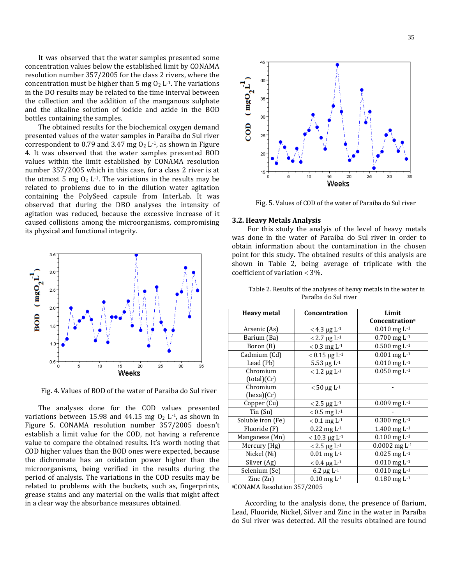It was observed that the water samples presented some concentration values below the established limit by CONAMA resolution number 357/2005 for the class 2 rivers, where the concentration must be higher than 5 mg  $O<sub>2</sub>$  L<sup>-1</sup>. The variations in the DO results may be related to the time interval between the collection and the addition of the manganous sulphate and the alkaline solution of iodide and azide in the BOD bottles containing the samples.

The obtained results for the biochemical oxygen demand presented values of the water samples in Paraíba do Sul river correspondent to 0.79 and 3.47 mg  $O_2$  L<sup>-1</sup>, as shown in Figure 4. It was observed that the water samples presented BOD values within the limit established by CONAMA resolution number 357/2005 which in this case, for a class 2 river is at the utmost 5 mg  $O_2$  L<sup>-1</sup>. The variations in the results may be related to problems due to in the dilution water agitation containing the PolySeed capsule from InterLab. It was observed that during the DBO analyses the intensity of agitation was reduced, because the excessive increase of it caused collisions among the microorganisms, compromising its physical and functional integrity.



Fig. 4. Values of BOD of the water of Paraiba do Sul river

The analyses done for the COD values presented variations between 15.98 and 44.15 mg  $O_2$  L<sup>-1</sup>, as shown in Figure 5. CONAMA resolution number 357/2005 doesn't establish a limit value for the COD, not having a reference value to compare the obtained results. It's worth noting that COD higher values than the BOD ones were expected, because the dichromate has an oxidation power higher than the microorganisms, being verified in the results during the period of analysis. The variations in the COD results may be related to problems with the buckets, such as, fingerprints, grease stains and any material on the walls that might affect in a clear way the absorbance measures obtained.



Fig. 5. Values of COD of the water of Paraiba do Sul river

### **3.2. Heavy Metals Analysis**

For this study the analyis of the level of heavy metals was done in the water of Paraíba do Sul river in order to obtain information about the contamination in the chosen point for this study. The obtained results of this analysis are shown in Table 2, being average of triplicate with the coefficient of variation  $<$  3%.

| <b>Heavy metal</b> | Concentration               | Limit                       |  |
|--------------------|-----------------------------|-----------------------------|--|
|                    |                             | Concentration <sup>a</sup>  |  |
| Arsenic (As)       | $<$ 4.3 μg L <sup>-1</sup>  | $0.010$ mg L <sup>-1</sup>  |  |
| Barium (Ba)        | $< 2.7 \mu g L^{-1}$        | $0.700$ mg $L^{-1}$         |  |
| Boron (B)          | $< 0.3$ mg L <sup>-1</sup>  | $0.500$ mg $L^{-1}$         |  |
| Cadmium (Cd)       | $< 0.15 \mu g L^{-1}$       | $0.001$ mg $L^{-1}$         |  |
| Lead (Pb)          | 5.53 $\mu$ g L-1            | $0.010$ mg L <sup>-1</sup>  |  |
| Chromium           | $< 1.2 \,\mu g L^{-1}$      | $0.050$ mg L <sup>-1</sup>  |  |
| (total)(Cr)        |                             |                             |  |
| Chromium           | $< 50 \mu g L^{-1}$         |                             |  |
| (hexa)(Cr)         |                             |                             |  |
| Copper (Cu)        | $< 2.5 \mu g L^{-1}$        | $0.009$ mg L <sup>-1</sup>  |  |
| $T$ in $(Sn)$      | $< 0.5$ mg L <sup>-1</sup>  |                             |  |
| Soluble iron (Fe)  | $< 0.1$ mg L <sup>-1</sup>  | $0.300$ mg L <sup>-1</sup>  |  |
| Fluoride (F)       | $0.22$ mg $L-1$             | 1.400 mg L-1                |  |
| Manganese (Mn)     | $< 10.3 \,\mu g L^{-1}$     | $0.100$ mg $L^{-1}$         |  |
| Mercury (Hg)       | $< 2.5 \mu g L^{-1}$        | $0.0002$ mg L <sup>-1</sup> |  |
| Nickel (Ni)        | $0.01$ mg $L^{-1}$          | $0.025$ mg $L^{-1}$         |  |
| Silver (Ag)        | $< 0.4 \mu g L^{-1}$        | $0.010$ mg $L^{-1}$         |  |
| Selenium (Se)      | 6.2 $\mu$ g L <sup>-1</sup> | $0.010$ mg L <sup>-1</sup>  |  |
| Zinc (Zn)          | $0.10$ mg $L^{-1}$          | $0.180$ mg $L^{-1}$         |  |

Table 2. Results of the analyses of heavy metals in the water in Paraíba do Sul river

<sup>a</sup>CONAMA Resolution 357/2005

According to the analysis done, the presence of Barium, Lead, Fluoride, Nickel, Silver and Zinc in the water in Paraíba do Sul river was detected. All the results obtained are found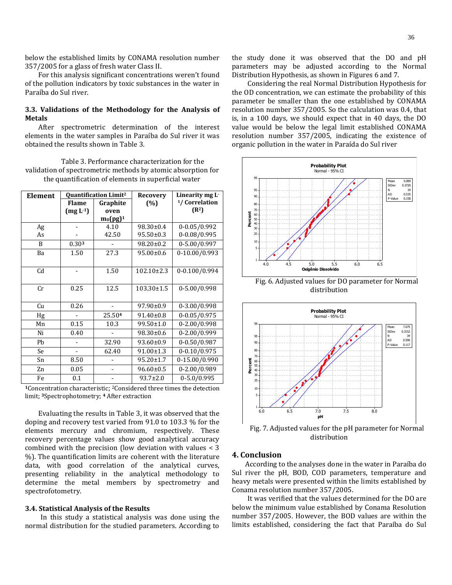below the established limits by CONAMA resolution number 357/2005 for a glass of fresh water Class II.

For this analysis significant concentrations weren't found of the pollution indicators by toxic substances in the water in Paraíba do Sul river.

# **3.3. Validations of the Methodology for the Analysis of Metals**

After spectrometric determination of the interest elements in the water samples in Paraíba do Sul river it was obtained the results shown in Table 3.

Table 3. Performance characterization for the validation of spectrometric methods by atomic absorption for the quantification of elements in superficial water

| Element        |              | <b>Quantification Limit<sup>2</sup></b> | <b>Recovery</b>  | Linearity mg L-           |
|----------------|--------------|-----------------------------------------|------------------|---------------------------|
|                | <b>Flame</b> | Graphite                                | (%)              | <sup>1</sup> /Correlation |
|                | $(mg L-1)$   | oven                                    |                  | (R <sup>2</sup> )         |
|                |              | $m_0(pg)^1$                             |                  |                           |
| Ag             |              | 4.10                                    | 98.30±0.4        | $0-0.05/0.992$            |
| As             |              | 42.50                                   | $95.50 \pm 0.3$  | $0-0.08/0.995$            |
| B              | 0.303        |                                         | 98.20±0.2        | 0-5.00/0.997              |
| Ba             | 1.50         | 27.3                                    | $95.00 \pm 0.6$  | 0-10.00/0.993             |
|                |              |                                         |                  |                           |
| C <sub>d</sub> |              | 1.50                                    | $102.10 \pm 2.3$ | 0-0.100/0.994             |
|                |              |                                         |                  |                           |
| Cr             | 0.25         | 12.5                                    | $103.30 \pm 1.5$ | 0-5.00/0.998              |
|                |              |                                         |                  |                           |
| Cu             | 0.26         |                                         | $97.90 \pm 0.9$  | 0-3.00/0.998              |
| Hg             |              | 25.504                                  | $91.40 \pm 0.8$  | $0 - 0.05 / 0.975$        |
| Mn             | 0.15         | 10.3                                    | 99.50±1.0        | 0-2.00/0.998              |
| Ni             | 0.40         |                                         | 98.30±0.6        | 0-2.00/0.999              |
| Pb             |              | 32.90                                   | 93.60±0.9        | $0-0.50/0.987$            |
| Se             |              | 62.40                                   | 91.00±1.3        | $0-0.10/0.975$            |
| Sn             | 8.50         |                                         | 95.20±1.7        | 0-15.00/0.990             |
| Zn             | 0.05         |                                         | $96.60 \pm 0.5$  | 0-2.00/0.989              |
| Fe             | 0.1          |                                         | $93.7 \pm 2.0$   | $0 - 5.0 / 0.995$         |

**<sup>1</sup>**Concentration characteristic; 2Considered three times the detection limit; **3**Spectrophotometry; **<sup>4</sup>** After extraction

Evaluating the results in Table 3, it was observed that the doping and recovery test varied from 91.0 to 103.3 % for the elements mercury and chromium, respectively. These recovery percentage values show good analytical accuracy combined with the precision (low deviation with values < 3 %). The quantification limits are coherent with the literature data, with good correlation of the analytical curves, presenting reliability in the analytical methodology to determine the metal members by spectrometry and spectrofotometry.

## **3.4. Statistical Analysis of the Results**

In this study a statistical analysis was done using the normal distribution for the studied parameters. According to the study done it was observed that the DO and pH parameters may be adjusted according to the Normal Distribution Hypothesis, as shown in Figures 6 and 7.

Considering the real Normal Distribution Hypothesis for the OD concentration, we can estimate the probability of this parameter be smaller than the one established by CONAMA resolution number 357/2005. So the calculation was 0.4, that is, in a 100 days, we should expect that in 40 days, the DO value would be below the legal limit established CONAMA resolution number 357/2005, indicating the existence of organic pollution in the water in Paraída do Sul river



Fig. 6. Adjusted values for DO parameter for Normal distribution



Fig. 7. Adjusted values for the pH parameter for Normal distribution

# **4. Conclusion**

According to the analyses done in the water in Paraíba do Sul river the pH, BOD, COD parameters, temperature and heavy metals were presented within the limits established by Conama resolution number 357/2005.

It was verified that the values determined for the DO are below the minimum value established by Conama Resolution number 357/2005. However, the BOD values are within the limits established, considering the fact that Paraíba do Sul